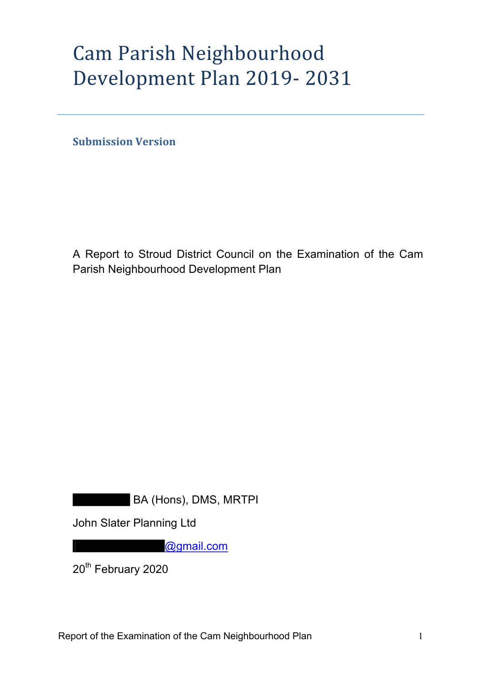# Cam Parish Neighbourhood Development Plan 2019- 2031

**Submission Version** 

A Report to Stroud District Council on the Examination of the Cam Parish Neighbourhood Development Plan

BA (Hons), DMS, MRTPI

John Slater Planning Ltd

@gmail.com

20<sup>th</sup> February 2020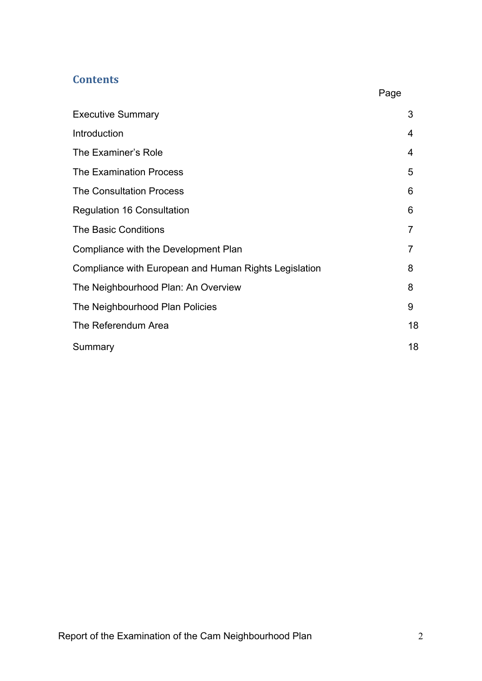# **Contents**

|                                                       | Page |
|-------------------------------------------------------|------|
| <b>Executive Summary</b>                              | 3    |
| Introduction                                          | 4    |
| The Examiner's Role                                   | 4    |
| <b>The Examination Process</b>                        | 5    |
| <b>The Consultation Process</b>                       | 6    |
| <b>Regulation 16 Consultation</b>                     | 6    |
| The Basic Conditions                                  | 7    |
| Compliance with the Development Plan                  | 7    |
| Compliance with European and Human Rights Legislation | 8    |
| The Neighbourhood Plan: An Overview                   | 8    |
| The Neighbourhood Plan Policies                       | 9    |
| The Referendum Area                                   | 18   |
| Summary                                               | 18   |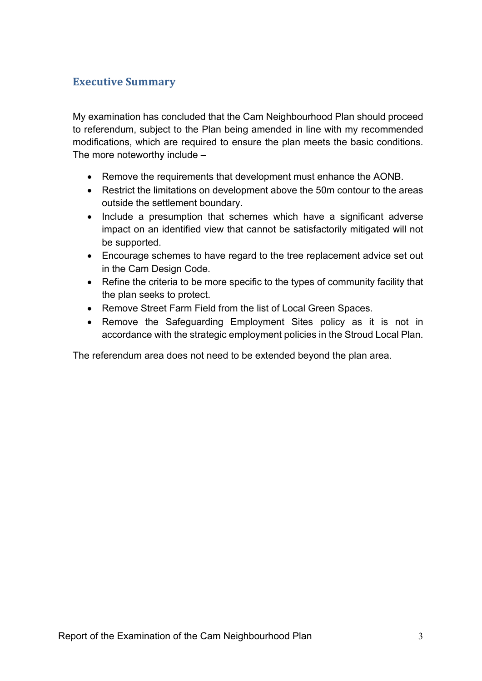## **Executive Summary**

My examination has concluded that the Cam Neighbourhood Plan should proceed to referendum, subject to the Plan being amended in line with my recommended modifications, which are required to ensure the plan meets the basic conditions. The more noteworthy include –

- Remove the requirements that development must enhance the AONB.
- Restrict the limitations on development above the 50m contour to the areas outside the settlement boundary.
- Include a presumption that schemes which have a significant adverse impact on an identified view that cannot be satisfactorily mitigated will not be supported.
- Encourage schemes to have regard to the tree replacement advice set out in the Cam Design Code.
- Refine the criteria to be more specific to the types of community facility that the plan seeks to protect.
- Remove Street Farm Field from the list of Local Green Spaces.
- Remove the Safeguarding Employment Sites policy as it is not in accordance with the strategic employment policies in the Stroud Local Plan.

The referendum area does not need to be extended beyond the plan area.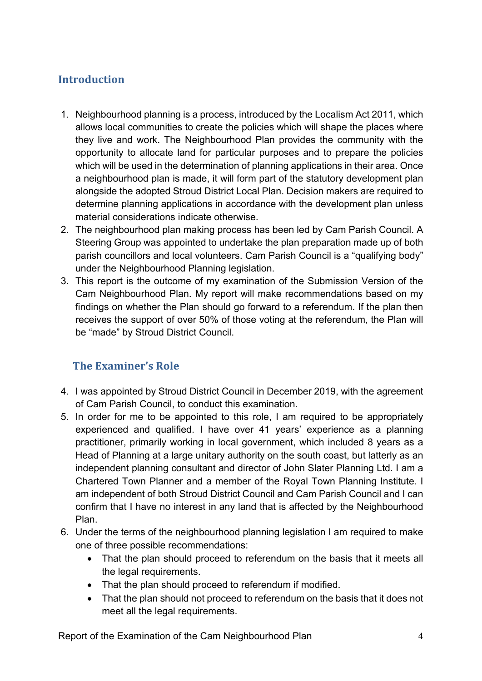# **Introduction**

- 1. Neighbourhood planning is a process, introduced by the Localism Act 2011, which allows local communities to create the policies which will shape the places where they live and work. The Neighbourhood Plan provides the community with the opportunity to allocate land for particular purposes and to prepare the policies which will be used in the determination of planning applications in their area. Once a neighbourhood plan is made, it will form part of the statutory development plan alongside the adopted Stroud District Local Plan. Decision makers are required to determine planning applications in accordance with the development plan unless material considerations indicate otherwise.
- 2. The neighbourhood plan making process has been led by Cam Parish Council. A Steering Group was appointed to undertake the plan preparation made up of both parish councillors and local volunteers. Cam Parish Council is a "qualifying body" under the Neighbourhood Planning legislation.
- 3. This report is the outcome of my examination of the Submission Version of the Cam Neighbourhood Plan. My report will make recommendations based on my findings on whether the Plan should go forward to a referendum. If the plan then receives the support of over 50% of those voting at the referendum, the Plan will be "made" by Stroud District Council.

# **The Examiner's Role**

- 4. I was appointed by Stroud District Council in December 2019, with the agreement of Cam Parish Council, to conduct this examination.
- 5. In order for me to be appointed to this role, I am required to be appropriately experienced and qualified. I have over 41 years' experience as a planning practitioner, primarily working in local government, which included 8 years as a Head of Planning at a large unitary authority on the south coast, but latterly as an independent planning consultant and director of John Slater Planning Ltd. I am a Chartered Town Planner and a member of the Royal Town Planning Institute. I am independent of both Stroud District Council and Cam Parish Council and I can confirm that I have no interest in any land that is affected by the Neighbourhood Plan.
- 6. Under the terms of the neighbourhood planning legislation I am required to make one of three possible recommendations:
	- That the plan should proceed to referendum on the basis that it meets all the legal requirements.
	- That the plan should proceed to referendum if modified.
	- That the plan should not proceed to referendum on the basis that it does not meet all the legal requirements.

Report of the Examination of the Cam Neighbourhood Plan 44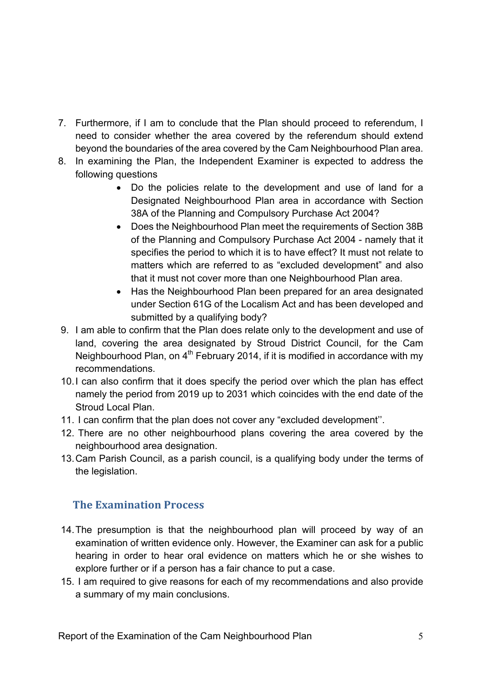- 7. Furthermore, if I am to conclude that the Plan should proceed to referendum, I need to consider whether the area covered by the referendum should extend beyond the boundaries of the area covered by the Cam Neighbourhood Plan area.
- 8. In examining the Plan, the Independent Examiner is expected to address the following questions
	- Do the policies relate to the development and use of land for a Designated Neighbourhood Plan area in accordance with Section 38A of the Planning and Compulsory Purchase Act 2004?
	- Does the Neighbourhood Plan meet the requirements of Section 38B of the Planning and Compulsory Purchase Act 2004 - namely that it specifies the period to which it is to have effect? It must not relate to matters which are referred to as "excluded development" and also that it must not cover more than one Neighbourhood Plan area.
	- Has the Neighbourhood Plan been prepared for an area designated under Section 61G of the Localism Act and has been developed and submitted by a qualifying body?
- 9. I am able to confirm that the Plan does relate only to the development and use of land, covering the area designated by Stroud District Council, for the Cam Neighbourhood Plan, on  $4<sup>th</sup>$  February 2014, if it is modified in accordance with my recommendations.
- 10.I can also confirm that it does specify the period over which the plan has effect namely the period from 2019 up to 2031 which coincides with the end date of the Stroud Local Plan.
- 11. I can confirm that the plan does not cover any "excluded development''.
- 12. There are no other neighbourhood plans covering the area covered by the neighbourhood area designation.
- 13.Cam Parish Council, as a parish council, is a qualifying body under the terms of the legislation.

# **The Examination Process**

- 14.The presumption is that the neighbourhood plan will proceed by way of an examination of written evidence only. However, the Examiner can ask for a public hearing in order to hear oral evidence on matters which he or she wishes to explore further or if a person has a fair chance to put a case.
- 15. I am required to give reasons for each of my recommendations and also provide a summary of my main conclusions.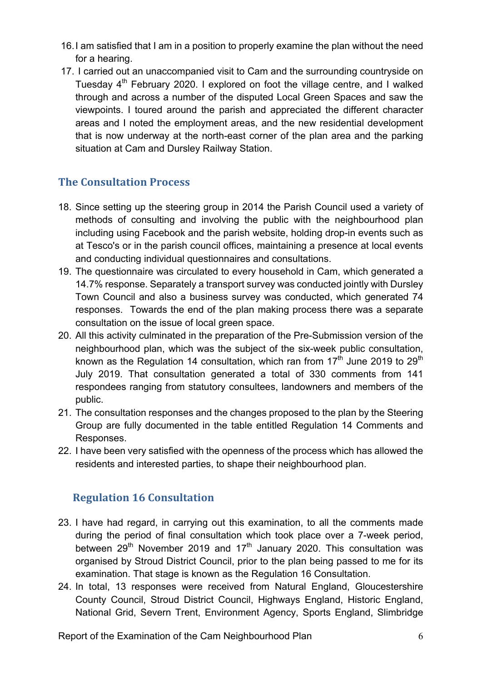- 16.I am satisfied that I am in a position to properly examine the plan without the need for a hearing.
- 17. I carried out an unaccompanied visit to Cam and the surrounding countryside on Tuesday  $4<sup>th</sup>$  February 2020. I explored on foot the village centre, and I walked through and across a number of the disputed Local Green Spaces and saw the viewpoints. I toured around the parish and appreciated the different character areas and I noted the employment areas, and the new residential development that is now underway at the north-east corner of the plan area and the parking situation at Cam and Dursley Railway Station.

# **The Consultation Process**

- 18. Since setting up the steering group in 2014 the Parish Council used a variety of methods of consulting and involving the public with the neighbourhood plan including using Facebook and the parish website, holding drop-in events such as at Tesco's or in the parish council offices, maintaining a presence at local events and conducting individual questionnaires and consultations.
- 19. The questionnaire was circulated to every household in Cam, which generated a 14.7% response. Separately a transport survey was conducted jointly with Dursley Town Council and also a business survey was conducted, which generated 74 responses. Towards the end of the plan making process there was a separate consultation on the issue of local green space.
- 20. All this activity culminated in the preparation of the Pre-Submission version of the neighbourhood plan, which was the subject of the six-week public consultation, known as the Regulation 14 consultation, which ran from  $17<sup>th</sup>$  June 2019 to 29<sup>th</sup> July 2019. That consultation generated a total of 330 comments from 141 respondees ranging from statutory consultees, landowners and members of the public.
- 21. The consultation responses and the changes proposed to the plan by the Steering Group are fully documented in the table entitled Regulation 14 Comments and Responses.
- 22. I have been very satisfied with the openness of the process which has allowed the residents and interested parties, to shape their neighbourhood plan.

# **Regulation 16 Consultation**

- 23. I have had regard, in carrying out this examination, to all the comments made during the period of final consultation which took place over a 7-week period, between  $29<sup>th</sup>$  November 2019 and 17<sup>th</sup> January 2020. This consultation was organised by Stroud District Council, prior to the plan being passed to me for its examination. That stage is known as the Regulation 16 Consultation.
- 24. In total, 13 responses were received from Natural England, Gloucestershire County Council, Stroud District Council, Highways England, Historic England, National Grid, Severn Trent, Environment Agency, Sports England, Slimbridge

Report of the Examination of the Cam Neighbourhood Plan 6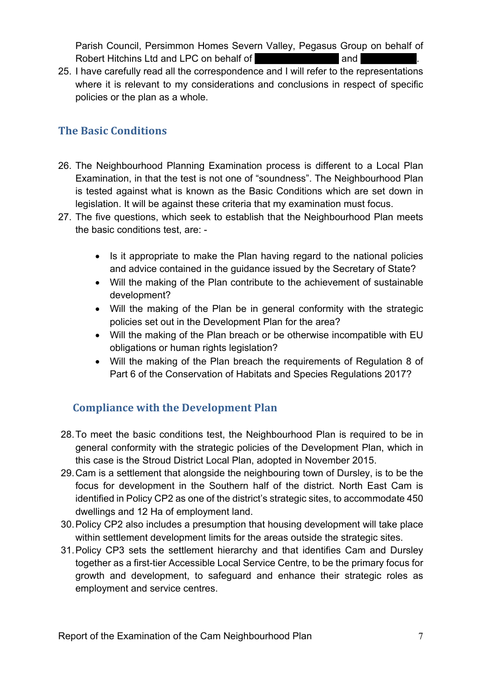Parish Council, Persimmon Homes Severn Valley, Pegasus Group on behalf of Robert Hitchins Ltd and LPC on behalf of and and .

25. I have carefully read all the correspondence and I will refer to the representations where it is relevant to my considerations and conclusions in respect of specific policies or the plan as a whole.

# **The Basic Conditions**

- 26. The Neighbourhood Planning Examination process is different to a Local Plan Examination, in that the test is not one of "soundness". The Neighbourhood Plan is tested against what is known as the Basic Conditions which are set down in legislation. It will be against these criteria that my examination must focus.
- 27. The five questions, which seek to establish that the Neighbourhood Plan meets the basic conditions test, are: -
	- Is it appropriate to make the Plan having regard to the national policies and advice contained in the guidance issued by the Secretary of State?
	- Will the making of the Plan contribute to the achievement of sustainable development?
	- Will the making of the Plan be in general conformity with the strategic policies set out in the Development Plan for the area?
	- Will the making of the Plan breach or be otherwise incompatible with EU obligations or human rights legislation?
	- Will the making of the Plan breach the requirements of Regulation 8 of Part 6 of the Conservation of Habitats and Species Regulations 2017?

# **Compliance with the Development Plan**

- 28.To meet the basic conditions test, the Neighbourhood Plan is required to be in general conformity with the strategic policies of the Development Plan, which in this case is the Stroud District Local Plan, adopted in November 2015.
- 29.Cam is a settlement that alongside the neighbouring town of Dursley, is to be the focus for development in the Southern half of the district. North East Cam is identified in Policy CP2 as one of the district's strategic sites, to accommodate 450 dwellings and 12 Ha of employment land.
- 30.Policy CP2 also includes a presumption that housing development will take place within settlement development limits for the areas outside the strategic sites.
- 31.Policy CP3 sets the settlement hierarchy and that identifies Cam and Dursley together as a first-tier Accessible Local Service Centre, to be the primary focus for growth and development, to safeguard and enhance their strategic roles as employment and service centres.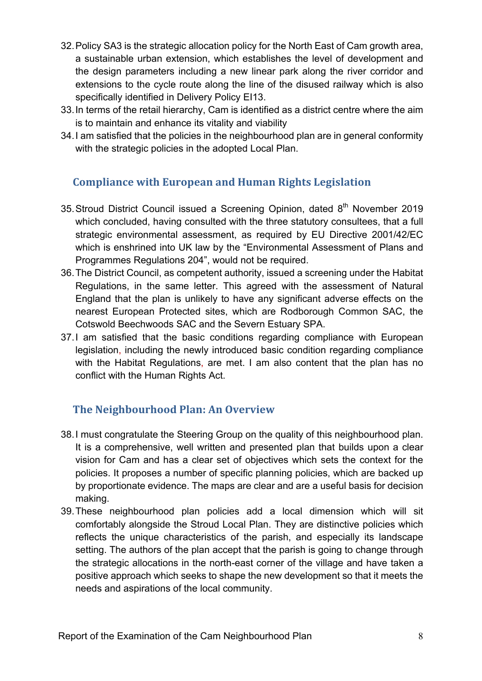- 32.Policy SA3 is the strategic allocation policy for the North East of Cam growth area, a sustainable urban extension, which establishes the level of development and the design parameters including a new linear park along the river corridor and extensions to the cycle route along the line of the disused railway which is also specifically identified in Delivery Policy EI13.
- 33.In terms of the retail hierarchy, Cam is identified as a district centre where the aim is to maintain and enhance its vitality and viability
- 34.I am satisfied that the policies in the neighbourhood plan are in general conformity with the strategic policies in the adopted Local Plan.

# **Compliance with European and Human Rights Legislation**

- 35. Stroud District Council issued a Screening Opinion, dated 8<sup>th</sup> November 2019 which concluded, having consulted with the three statutory consultees, that a full strategic environmental assessment, as required by EU Directive 2001/42/EC which is enshrined into UK law by the "Environmental Assessment of Plans and Programmes Regulations 204", would not be required.
- 36.The District Council, as competent authority, issued a screening under the Habitat Regulations, in the same letter. This agreed with the assessment of Natural England that the plan is unlikely to have any significant adverse effects on the nearest European Protected sites, which are Rodborough Common SAC, the Cotswold Beechwoods SAC and the Severn Estuary SPA.
- 37.I am satisfied that the basic conditions regarding compliance with European legislation, including the newly introduced basic condition regarding compliance with the Habitat Regulations, are met. I am also content that the plan has no conflict with the Human Rights Act.

# **The Neighbourhood Plan: An Overview**

- 38.I must congratulate the Steering Group on the quality of this neighbourhood plan. It is a comprehensive, well written and presented plan that builds upon a clear vision for Cam and has a clear set of objectives which sets the context for the policies. It proposes a number of specific planning policies, which are backed up by proportionate evidence. The maps are clear and are a useful basis for decision making.
- 39.These neighbourhood plan policies add a local dimension which will sit comfortably alongside the Stroud Local Plan. They are distinctive policies which reflects the unique characteristics of the parish, and especially its landscape setting. The authors of the plan accept that the parish is going to change through the strategic allocations in the north-east corner of the village and have taken a positive approach which seeks to shape the new development so that it meets the needs and aspirations of the local community.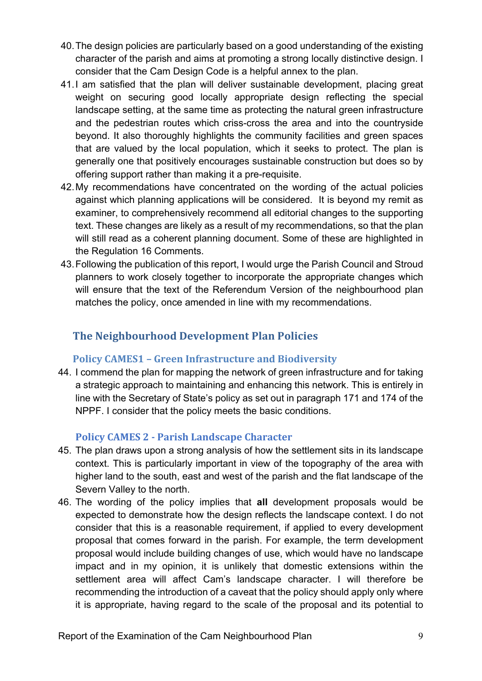- 40.The design policies are particularly based on a good understanding of the existing character of the parish and aims at promoting a strong locally distinctive design. I consider that the Cam Design Code is a helpful annex to the plan.
- 41.I am satisfied that the plan will deliver sustainable development, placing great weight on securing good locally appropriate design reflecting the special landscape setting, at the same time as protecting the natural green infrastructure and the pedestrian routes which criss-cross the area and into the countryside beyond. It also thoroughly highlights the community facilities and green spaces that are valued by the local population, which it seeks to protect. The plan is generally one that positively encourages sustainable construction but does so by offering support rather than making it a pre-requisite.
- 42.My recommendations have concentrated on the wording of the actual policies against which planning applications will be considered. It is beyond my remit as examiner, to comprehensively recommend all editorial changes to the supporting text. These changes are likely as a result of my recommendations, so that the plan will still read as a coherent planning document. Some of these are highlighted in the Regulation 16 Comments.
- 43.Following the publication of this report, I would urge the Parish Council and Stroud planners to work closely together to incorporate the appropriate changes which will ensure that the text of the Referendum Version of the neighbourhood plan matches the policy, once amended in line with my recommendations.

# **The Neighbourhood Development Plan Policies**

## **Policy CAMES1 – Green Infrastructure and Biodiversity**

44. I commend the plan for mapping the network of green infrastructure and for taking a strategic approach to maintaining and enhancing this network. This is entirely in line with the Secretary of State's policy as set out in paragraph 171 and 174 of the NPPF. I consider that the policy meets the basic conditions.

# **Policy CAMES 2 - Parish Landscape Character**

- 45. The plan draws upon a strong analysis of how the settlement sits in its landscape context. This is particularly important in view of the topography of the area with higher land to the south, east and west of the parish and the flat landscape of the Severn Valley to the north.
- 46. The wording of the policy implies that **all** development proposals would be expected to demonstrate how the design reflects the landscape context. I do not consider that this is a reasonable requirement, if applied to every development proposal that comes forward in the parish. For example, the term development proposal would include building changes of use, which would have no landscape impact and in my opinion, it is unlikely that domestic extensions within the settlement area will affect Cam's landscape character. I will therefore be recommending the introduction of a caveat that the policy should apply only where it is appropriate, having regard to the scale of the proposal and its potential to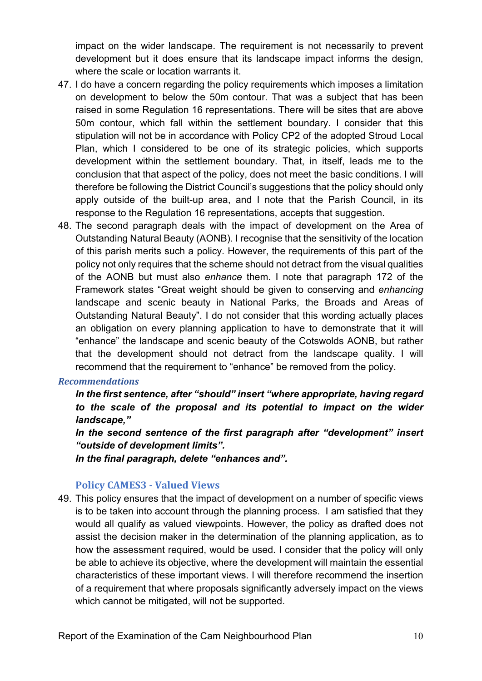impact on the wider landscape. The requirement is not necessarily to prevent development but it does ensure that its landscape impact informs the design, where the scale or location warrants it.

- 47. I do have a concern regarding the policy requirements which imposes a limitation on development to below the 50m contour. That was a subject that has been raised in some Regulation 16 representations. There will be sites that are above 50m contour, which fall within the settlement boundary. I consider that this stipulation will not be in accordance with Policy CP2 of the adopted Stroud Local Plan, which I considered to be one of its strategic policies, which supports development within the settlement boundary. That, in itself, leads me to the conclusion that that aspect of the policy, does not meet the basic conditions. I will therefore be following the District Council's suggestions that the policy should only apply outside of the built-up area, and I note that the Parish Council, in its response to the Regulation 16 representations, accepts that suggestion.
- 48. The second paragraph deals with the impact of development on the Area of Outstanding Natural Beauty (AONB). I recognise that the sensitivity of the location of this parish merits such a policy. However, the requirements of this part of the policy not only requires that the scheme should not detract from the visual qualities of the AONB but must also *enhance* them. I note that paragraph 172 of the Framework states "Great weight should be given to conserving and *enhancing* landscape and scenic beauty in National Parks, the Broads and Areas of Outstanding Natural Beauty". I do not consider that this wording actually places an obligation on every planning application to have to demonstrate that it will "enhance" the landscape and scenic beauty of the Cotswolds AONB, but rather that the development should not detract from the landscape quality. I will recommend that the requirement to "enhance" be removed from the policy.

#### *Recommendations*

*In the first sentence, after "should" insert "where appropriate, having regard to the scale of the proposal and its potential to impact on the wider landscape,"*

*In the second sentence of the first paragraph after "development" insert "outside of development limits".*

*In the final paragraph, delete "enhances and".*

#### **Policy CAMES3 - Valued Views**

49. This policy ensures that the impact of development on a number of specific views is to be taken into account through the planning process. I am satisfied that they would all qualify as valued viewpoints. However, the policy as drafted does not assist the decision maker in the determination of the planning application, as to how the assessment required, would be used. I consider that the policy will only be able to achieve its objective, where the development will maintain the essential characteristics of these important views. I will therefore recommend the insertion of a requirement that where proposals significantly adversely impact on the views which cannot be mitigated, will not be supported.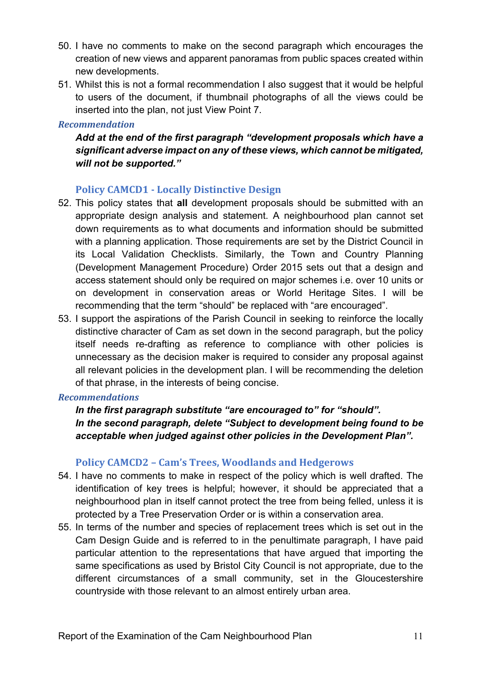- 50. I have no comments to make on the second paragraph which encourages the creation of new views and apparent panoramas from public spaces created within new developments.
- 51. Whilst this is not a formal recommendation I also suggest that it would be helpful to users of the document, if thumbnail photographs of all the views could be inserted into the plan, not just View Point 7.

#### *Recommendation*

*Add at the end of the first paragraph "development proposals which have a significant adverse impact on any of these views, which cannot be mitigated, will not be supported."*

#### **Policy CAMCD1 - Locally Distinctive Design**

- 52. This policy states that **all** development proposals should be submitted with an appropriate design analysis and statement. A neighbourhood plan cannot set down requirements as to what documents and information should be submitted with a planning application. Those requirements are set by the District Council in its Local Validation Checklists. Similarly, the Town and Country Planning (Development Management Procedure) Order 2015 sets out that a design and access statement should only be required on major schemes i.e. over 10 units or on development in conservation areas or World Heritage Sites. I will be recommending that the term "should" be replaced with "are encouraged".
- 53. I support the aspirations of the Parish Council in seeking to reinforce the locally distinctive character of Cam as set down in the second paragraph, but the policy itself needs re-drafting as reference to compliance with other policies is unnecessary as the decision maker is required to consider any proposal against all relevant policies in the development plan. I will be recommending the deletion of that phrase, in the interests of being concise.

#### *Recommendations*

*In the first paragraph substitute "are encouraged to" for "should". In the second paragraph, delete "Subject to development being found to be acceptable when judged against other policies in the Development Plan".*

#### **Policy CAMCD2 – Cam's Trees, Woodlands and Hedgerows**

- 54. I have no comments to make in respect of the policy which is well drafted. The identification of key trees is helpful; however, it should be appreciated that a neighbourhood plan in itself cannot protect the tree from being felled, unless it is protected by a Tree Preservation Order or is within a conservation area.
- 55. In terms of the number and species of replacement trees which is set out in the Cam Design Guide and is referred to in the penultimate paragraph, I have paid particular attention to the representations that have argued that importing the same specifications as used by Bristol City Council is not appropriate, due to the different circumstances of a small community, set in the Gloucestershire countryside with those relevant to an almost entirely urban area.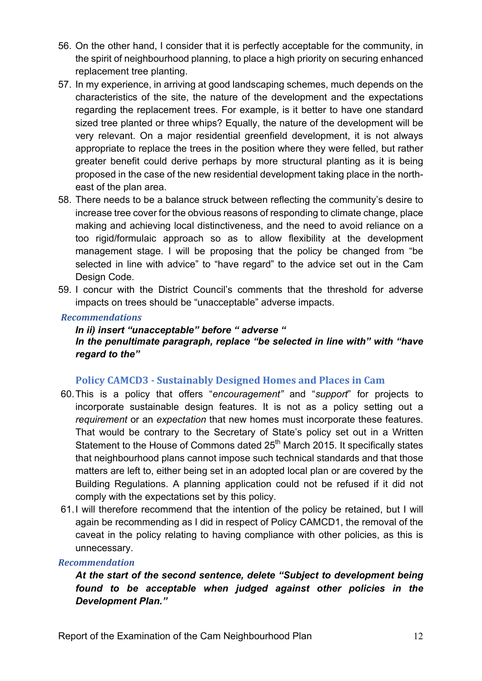- 56. On the other hand, I consider that it is perfectly acceptable for the community, in the spirit of neighbourhood planning, to place a high priority on securing enhanced replacement tree planting.
- 57. In my experience, in arriving at good landscaping schemes, much depends on the characteristics of the site, the nature of the development and the expectations regarding the replacement trees. For example, is it better to have one standard sized tree planted or three whips? Equally, the nature of the development will be very relevant. On a major residential greenfield development, it is not always appropriate to replace the trees in the position where they were felled, but rather greater benefit could derive perhaps by more structural planting as it is being proposed in the case of the new residential development taking place in the northeast of the plan area.
- 58. There needs to be a balance struck between reflecting the community's desire to increase tree cover for the obvious reasons of responding to climate change, place making and achieving local distinctiveness, and the need to avoid reliance on a too rigid/formulaic approach so as to allow flexibility at the development management stage. I will be proposing that the policy be changed from "be selected in line with advice" to "have regard" to the advice set out in the Cam Design Code.
- 59. I concur with the District Council's comments that the threshold for adverse impacts on trees should be "unacceptable" adverse impacts.

#### *Recommendations*

 *In ii) insert "unacceptable" before " adverse " In the penultimate paragraph, replace "be selected in line with" with "have regard to the"*

#### **Policy CAMCD3 - Sustainably Designed Homes and Places in Cam**

- 60.This is a policy that offers "*encouragement"* and "*support*" for projects to incorporate sustainable design features. It is not as a policy setting out a *requirement* or an *expectation* that new homes must incorporate these features. That would be contrary to the Secretary of State's policy set out in a Written Statement to the House of Commons dated 25<sup>th</sup> March 2015. It specifically states that neighbourhood plans cannot impose such technical standards and that those matters are left to, either being set in an adopted local plan or are covered by the Building Regulations. A planning application could not be refused if it did not comply with the expectations set by this policy.
- 61.I will therefore recommend that the intention of the policy be retained, but I will again be recommending as I did in respect of Policy CAMCD1, the removal of the caveat in the policy relating to having compliance with other policies, as this is unnecessary.

#### *Recommendation*

*At the start of the second sentence, delete "Subject to development being found to be acceptable when judged against other policies in the Development Plan."*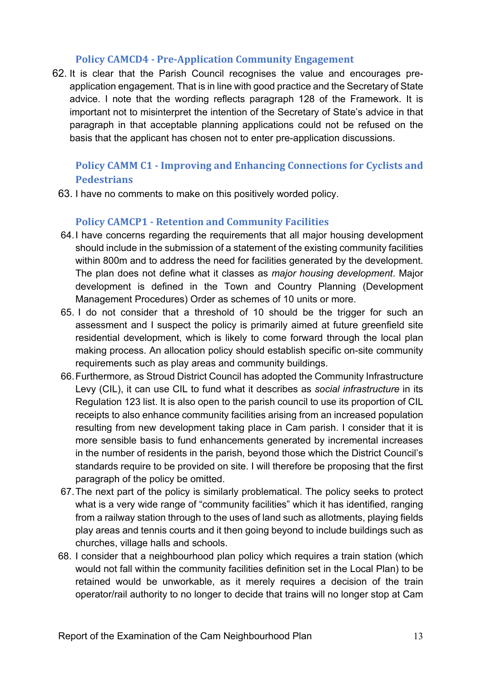#### **Policy CAMCD4 - Pre-Application Community Engagement**

62. It is clear that the Parish Council recognises the value and encourages preapplication engagement. That is in line with good practice and the Secretary of State advice. I note that the wording reflects paragraph 128 of the Framework. It is important not to misinterpret the intention of the Secretary of State's advice in that paragraph in that acceptable planning applications could not be refused on the basis that the applicant has chosen not to enter pre-application discussions.

## **Policy CAMM C1 - Improving and Enhancing Connections for Cyclists and Pedestrians**

63. I have no comments to make on this positively worded policy.

#### **Policy CAMCP1 - Retention and Community Facilities**

- 64.I have concerns regarding the requirements that all major housing development should include in the submission of a statement of the existing community facilities within 800m and to address the need for facilities generated by the development. The plan does not define what it classes as *major housing development*. Major development is defined in the Town and Country Planning (Development Management Procedures) Order as schemes of 10 units or more.
- 65. I do not consider that a threshold of 10 should be the trigger for such an assessment and I suspect the policy is primarily aimed at future greenfield site residential development, which is likely to come forward through the local plan making process. An allocation policy should establish specific on-site community requirements such as play areas and community buildings.
- 66.Furthermore, as Stroud District Council has adopted the Community Infrastructure Levy (CIL), it can use CIL to fund what it describes as *social infrastructure* in its Regulation 123 list. It is also open to the parish council to use its proportion of CIL receipts to also enhance community facilities arising from an increased population resulting from new development taking place in Cam parish. I consider that it is more sensible basis to fund enhancements generated by incremental increases in the number of residents in the parish, beyond those which the District Council's standards require to be provided on site. I will therefore be proposing that the first paragraph of the policy be omitted.
- 67.The next part of the policy is similarly problematical. The policy seeks to protect what is a very wide range of "community facilities" which it has identified, ranging from a railway station through to the uses of land such as allotments, playing fields play areas and tennis courts and it then going beyond to include buildings such as churches, village halls and schools.
- 68. I consider that a neighbourhood plan policy which requires a train station (which would not fall within the community facilities definition set in the Local Plan) to be retained would be unworkable, as it merely requires a decision of the train operator/rail authority to no longer to decide that trains will no longer stop at Cam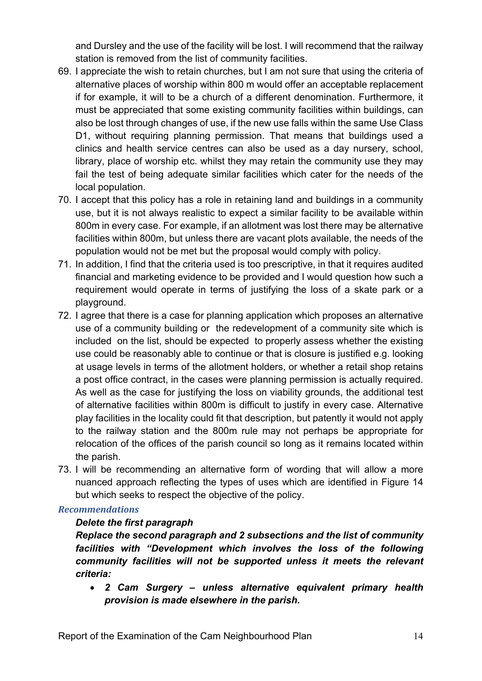and Dursley and the use of the facility will be lost. I will recommend that the railway station is removed from the list of community facilities.

- 69. I appreciate the wish to retain churches, but I am not sure that using the criteria of alternative places of worship within 800 m would offer an acceptable replacement if for example, it will to be a church of a different denomination. Furthermore, it must be appreciated that some existing community facilities within buildings, can also be lost through changes of use, if the new use falls within the same Use Class D1, without requiring planning permission. That means that buildings used a clinics and health service centres can also be used as a day nursery, school, library, place of worship etc. whilst they may retain the community use they may fail the test of being adequate similar facilities which cater for the needs of the local population.
- 70. I accept that this policy has a role in retaining land and buildings in a community use, but it is not always realistic to expect a similar facility to be available within 800m in every case. For example, if an allotment was lost there may be alternative facilities within 800m, but unless there are vacant plots available, the needs of the population would not be met but the proposal would comply with policy.
- 71. In addition, I find that the criteria used is too prescriptive, in that it requires audited financial and marketing evidence to be provided and I would question how such a requirement would operate in terms of justifying the loss of a skate park or a playground.
- 72. I agree that there is a case for planning application which proposes an alternative use of a community building or the redevelopment of a community site which is included on the list, should be expected to properly assess whether the existing use could be reasonably able to continue or that is closure is justified e.g. looking at usage levels in terms of the allotment holders, or whether a retail shop retains a post office contract, in the cases were planning permission is actually required. As well as the case for justifying the loss on viability grounds, the additional test of alternative facilities within 800m is difficult to justify in every case. Alternative play facilities in the locality could fit that description, but patently it would not apply to the railway station and the 800m rule may not perhaps be appropriate for relocation of the offices of the parish council so long as it remains located within the parish.
- 73. I will be recommending an alternative form of wording that will allow a more nuanced approach reflecting the types of uses which are identified in Figure 14 but which seeks to respect the objective of the policy.

## *Recommendations*

## *Delete the first paragraph*

*Replace the second paragraph and 2 subsections and the list of community facilities with "Development which involves the loss of the following community facilities will not be supported unless it meets the relevant criteria:*

• *2 Cam Surgery – unless alternative equivalent primary health provision is made elsewhere in the parish.*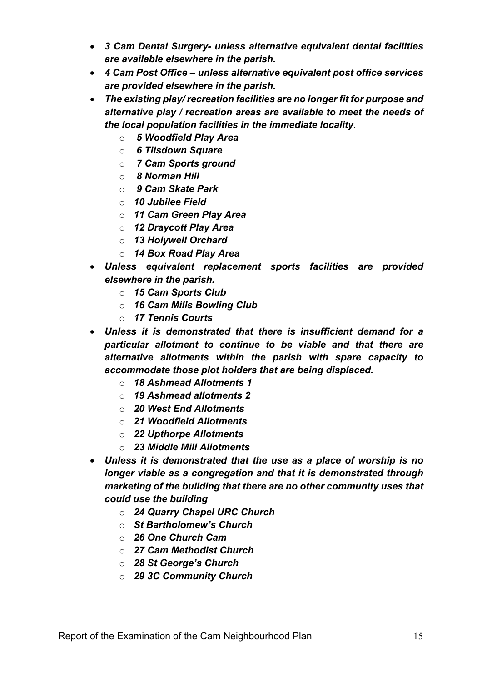- *3 Cam Dental Surgery- unless alternative equivalent dental facilities are available elsewhere in the parish.*
- *4 Cam Post Office – unless alternative equivalent post office services are provided elsewhere in the parish.*
- *The existing play/ recreation facilities are no longer fit for purpose and alternative play / recreation areas are available to meet the needs of the local population facilities in the immediate locality.*
	- o *5 Woodfield Play Area*
	- o *6 Tilsdown Square*
	- o *7 Cam Sports ground*
	- o *8 Norman Hill*
	- o *9 Cam Skate Park*
	- o *10 Jubilee Field*
	- o *11 Cam Green Play Area*
	- o *12 Draycott Play Area*
	- o *13 Holywell Orchard*
	- o *14 Box Road Play Area*
- *Unless equivalent replacement sports facilities are provided elsewhere in the parish.*
	- o *15 Cam Sports Club*
	- o *16 Cam Mills Bowling Club*
	- o *17 Tennis Courts*
- *Unless it is demonstrated that there is insufficient demand for a particular allotment to continue to be viable and that there are alternative allotments within the parish with spare capacity to accommodate those plot holders that are being displaced.*
	- o *18 Ashmead Allotments 1*
	- o *19 Ashmead allotments 2*
	- o *20 West End Allotments*
	- o *21 Woodfield Allotments*
	- o *22 Upthorpe Allotments*
	- o *23 Middle Mill Allotments*
- *Unless it is demonstrated that the use as a place of worship is no longer viable as a congregation and that it is demonstrated through marketing of the building that there are no other community uses that could use the building*
	- o *24 Quarry Chapel URC Church*
	- o *St Bartholomew's Church*
	- o *26 One Church Cam*
	- o *27 Cam Methodist Church*
	- o *28 St George's Church*
	- o *29 3C Community Church*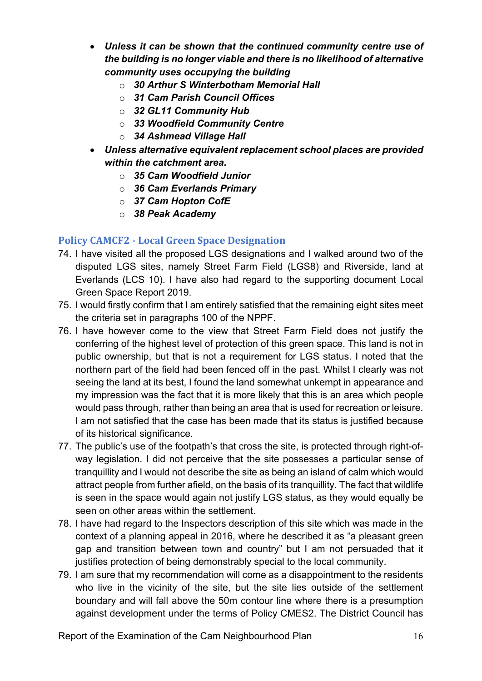- *Unless it can be shown that the continued community centre use of the building is no longer viable and there is no likelihood of alternative community uses occupying the building*
	- o *30 Arthur S Winterbotham Memorial Hall*
	- o *31 Cam Parish Council Offices*
	- o *32 GL11 Community Hub*
	- o *33 Woodfield Community Centre*
	- o *34 Ashmead Village Hall*
- *Unless alternative equivalent replacement school places are provided within the catchment area.*
	- o *35 Cam Woodfield Junior*
	- o *36 Cam Everlands Primary*
	- o *37 Cam Hopton CofE*
	- o *38 Peak Academy*

## **Policy CAMCF2 - Local Green Space Designation**

- 74. I have visited all the proposed LGS designations and I walked around two of the disputed LGS sites, namely Street Farm Field (LGS8) and Riverside, land at Everlands (LCS 10). I have also had regard to the supporting document Local Green Space Report 2019.
- 75. I would firstly confirm that I am entirely satisfied that the remaining eight sites meet the criteria set in paragraphs 100 of the NPPF.
- 76. I have however come to the view that Street Farm Field does not justify the conferring of the highest level of protection of this green space. This land is not in public ownership, but that is not a requirement for LGS status. I noted that the northern part of the field had been fenced off in the past. Whilst I clearly was not seeing the land at its best, I found the land somewhat unkempt in appearance and my impression was the fact that it is more likely that this is an area which people would pass through, rather than being an area that is used for recreation or leisure. I am not satisfied that the case has been made that its status is justified because of its historical significance.
- 77. The public's use of the footpath's that cross the site, is protected through right-ofway legislation. I did not perceive that the site possesses a particular sense of tranquillity and I would not describe the site as being an island of calm which would attract people from further afield, on the basis of its tranquillity. The fact that wildlife is seen in the space would again not justify LGS status, as they would equally be seen on other areas within the settlement.
- 78. I have had regard to the Inspectors description of this site which was made in the context of a planning appeal in 2016, where he described it as "a pleasant green gap and transition between town and country" but I am not persuaded that it justifies protection of being demonstrably special to the local community.
- 79. I am sure that my recommendation will come as a disappointment to the residents who live in the vicinity of the site, but the site lies outside of the settlement boundary and will fall above the 50m contour line where there is a presumption against development under the terms of Policy CMES2. The District Council has

Report of the Examination of the Cam Neighbourhood Plan 16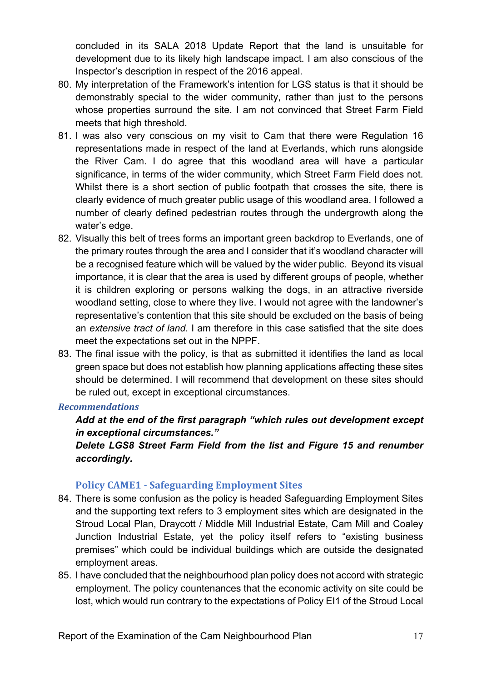concluded in its SALA 2018 Update Report that the land is unsuitable for development due to its likely high landscape impact. I am also conscious of the Inspector's description in respect of the 2016 appeal.

- 80. My interpretation of the Framework's intention for LGS status is that it should be demonstrably special to the wider community, rather than just to the persons whose properties surround the site. I am not convinced that Street Farm Field meets that high threshold.
- 81. I was also very conscious on my visit to Cam that there were Regulation 16 representations made in respect of the land at Everlands, which runs alongside the River Cam. I do agree that this woodland area will have a particular significance, in terms of the wider community, which Street Farm Field does not. Whilst there is a short section of public footpath that crosses the site, there is clearly evidence of much greater public usage of this woodland area. I followed a number of clearly defined pedestrian routes through the undergrowth along the water's edge.
- 82. Visually this belt of trees forms an important green backdrop to Everlands, one of the primary routes through the area and I consider that it's woodland character will be a recognised feature which will be valued by the wider public. Beyond its visual importance, it is clear that the area is used by different groups of people, whether it is children exploring or persons walking the dogs, in an attractive riverside woodland setting, close to where they live. I would not agree with the landowner's representative's contention that this site should be excluded on the basis of being an *extensive tract of land*. I am therefore in this case satisfied that the site does meet the expectations set out in the NPPF.
- 83. The final issue with the policy, is that as submitted it identifies the land as local green space but does not establish how planning applications affecting these sites should be determined. I will recommend that development on these sites should be ruled out, except in exceptional circumstances.

#### *Recommendations*

## *Add at the end of the first paragraph "which rules out development except in exceptional circumstances."*

## *Delete LGS8 Street Farm Field from the list and Figure 15 and renumber accordingly.*

#### **Policy CAME1 - Safeguarding Employment Sites**

- 84. There is some confusion as the policy is headed Safeguarding Employment Sites and the supporting text refers to 3 employment sites which are designated in the Stroud Local Plan, Draycott / Middle Mill Industrial Estate, Cam Mill and Coaley Junction Industrial Estate, yet the policy itself refers to "existing business premises" which could be individual buildings which are outside the designated employment areas.
- 85. I have concluded that the neighbourhood plan policy does not accord with strategic employment. The policy countenances that the economic activity on site could be lost, which would run contrary to the expectations of Policy EI1 of the Stroud Local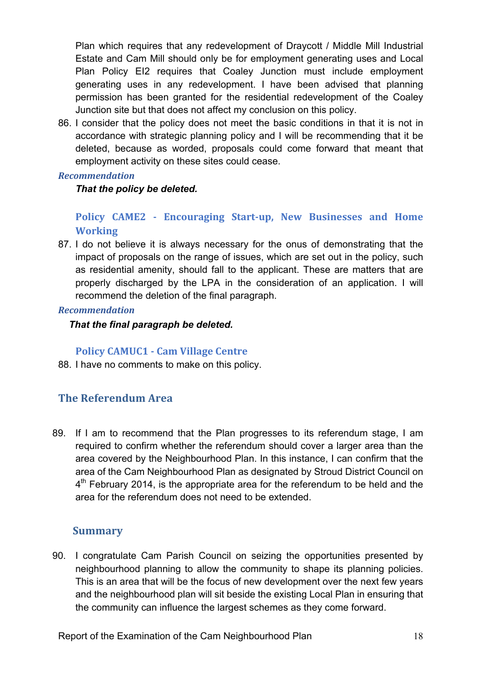Plan which requires that any redevelopment of Draycott / Middle Mill Industrial Estate and Cam Mill should only be for employment generating uses and Local Plan Policy EI2 requires that Coaley Junction must include employment generating uses in any redevelopment. I have been advised that planning permission has been granted for the residential redevelopment of the Coaley Junction site but that does not affect my conclusion on this policy.

86. I consider that the policy does not meet the basic conditions in that it is not in accordance with strategic planning policy and I will be recommending that it be deleted, because as worded, proposals could come forward that meant that employment activity on these sites could cease.

#### *Recommendation*

*That the policy be deleted.*

**Policy CAME2 - Encouraging Start-up, New Businesses and Home Working**

87. I do not believe it is always necessary for the onus of demonstrating that the impact of proposals on the range of issues, which are set out in the policy, such as residential amenity, should fall to the applicant. These are matters that are properly discharged by the LPA in the consideration of an application. I will recommend the deletion of the final paragraph.

#### *Recommendation*

 *That the final paragraph be deleted.*

#### **Policy CAMUC1 - Cam Village Centre**

88. I have no comments to make on this policy.

## **The Referendum Area**

89. If I am to recommend that the Plan progresses to its referendum stage, I am required to confirm whether the referendum should cover a larger area than the area covered by the Neighbourhood Plan. In this instance, I can confirm that the area of the Cam Neighbourhood Plan as designated by Stroud District Council on  $4<sup>th</sup>$  February 2014, is the appropriate area for the referendum to be held and the area for the referendum does not need to be extended.

#### **Summary**

90. I congratulate Cam Parish Council on seizing the opportunities presented by neighbourhood planning to allow the community to shape its planning policies. This is an area that will be the focus of new development over the next few years and the neighbourhood plan will sit beside the existing Local Plan in ensuring that the community can influence the largest schemes as they come forward.